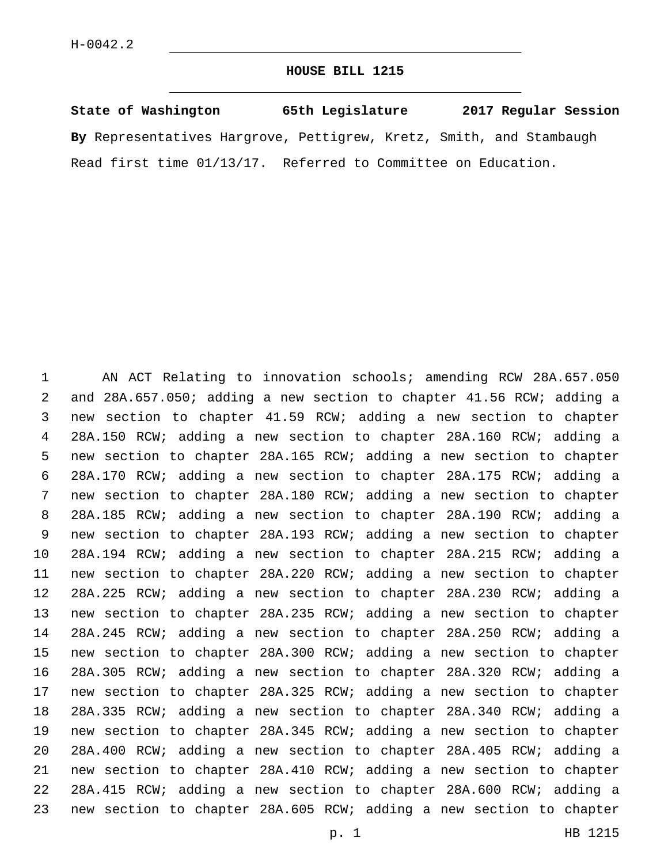## **HOUSE BILL 1215**

|  | State of Washington |                                                                     | 65th Legislature |  | 2017 Regular Session |
|--|---------------------|---------------------------------------------------------------------|------------------|--|----------------------|
|  |                     | By Representatives Hargrove, Pettigrew, Kretz, Smith, and Stambaugh |                  |  |                      |
|  |                     | Read first time 01/13/17. Referred to Committee on Education.       |                  |  |                      |

 AN ACT Relating to innovation schools; amending RCW 28A.657.050 and 28A.657.050; adding a new section to chapter 41.56 RCW; adding a new section to chapter 41.59 RCW; adding a new section to chapter 28A.150 RCW; adding a new section to chapter 28A.160 RCW; adding a new section to chapter 28A.165 RCW; adding a new section to chapter 28A.170 RCW; adding a new section to chapter 28A.175 RCW; adding a new section to chapter 28A.180 RCW; adding a new section to chapter 28A.185 RCW; adding a new section to chapter 28A.190 RCW; adding a new section to chapter 28A.193 RCW; adding a new section to chapter 28A.194 RCW; adding a new section to chapter 28A.215 RCW; adding a new section to chapter 28A.220 RCW; adding a new section to chapter 28A.225 RCW; adding a new section to chapter 28A.230 RCW; adding a new section to chapter 28A.235 RCW; adding a new section to chapter 28A.245 RCW; adding a new section to chapter 28A.250 RCW; adding a new section to chapter 28A.300 RCW; adding a new section to chapter 28A.305 RCW; adding a new section to chapter 28A.320 RCW; adding a new section to chapter 28A.325 RCW; adding a new section to chapter 28A.335 RCW; adding a new section to chapter 28A.340 RCW; adding a new section to chapter 28A.345 RCW; adding a new section to chapter 28A.400 RCW; adding a new section to chapter 28A.405 RCW; adding a new section to chapter 28A.410 RCW; adding a new section to chapter 28A.415 RCW; adding a new section to chapter 28A.600 RCW; adding a new section to chapter 28A.605 RCW; adding a new section to chapter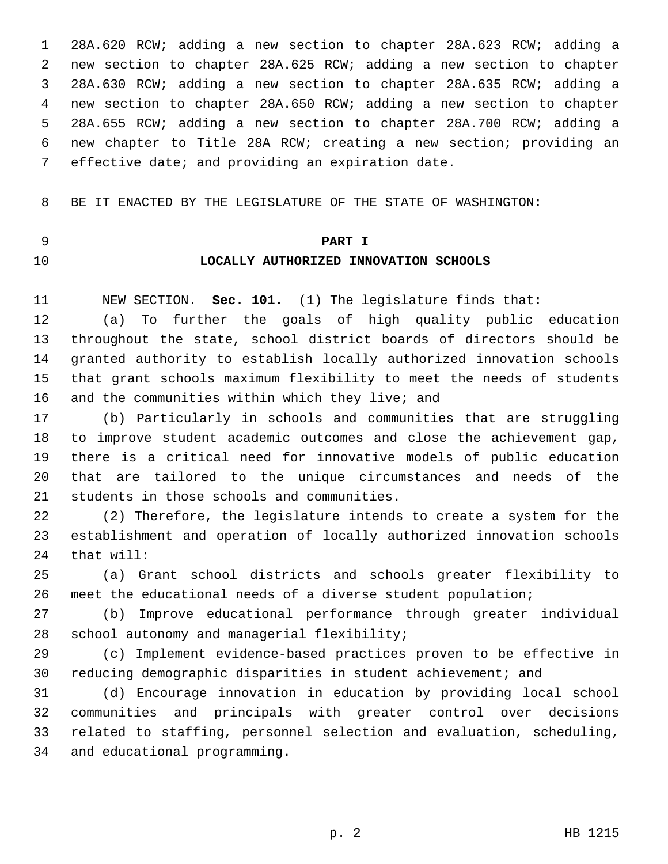28A.620 RCW; adding a new section to chapter 28A.623 RCW; adding a new section to chapter 28A.625 RCW; adding a new section to chapter 28A.630 RCW; adding a new section to chapter 28A.635 RCW; adding a new section to chapter 28A.650 RCW; adding a new section to chapter 28A.655 RCW; adding a new section to chapter 28A.700 RCW; adding a new chapter to Title 28A RCW; creating a new section; providing an 7 effective date; and providing an expiration date.

BE IT ENACTED BY THE LEGISLATURE OF THE STATE OF WASHINGTON:

## **PART I**

## **LOCALLY AUTHORIZED INNOVATION SCHOOLS**

NEW SECTION. **Sec. 101.** (1) The legislature finds that:

 (a) To further the goals of high quality public education throughout the state, school district boards of directors should be granted authority to establish locally authorized innovation schools that grant schools maximum flexibility to meet the needs of students 16 and the communities within which they live; and

 (b) Particularly in schools and communities that are struggling to improve student academic outcomes and close the achievement gap, there is a critical need for innovative models of public education that are tailored to the unique circumstances and needs of the 21 students in those schools and communities.

 (2) Therefore, the legislature intends to create a system for the establishment and operation of locally authorized innovation schools 24 that will:

 (a) Grant school districts and schools greater flexibility to meet the educational needs of a diverse student population;

 (b) Improve educational performance through greater individual 28 school autonomy and managerial flexibility;

 (c) Implement evidence-based practices proven to be effective in reducing demographic disparities in student achievement; and

 (d) Encourage innovation in education by providing local school communities and principals with greater control over decisions related to staffing, personnel selection and evaluation, scheduling, 34 and educational programming.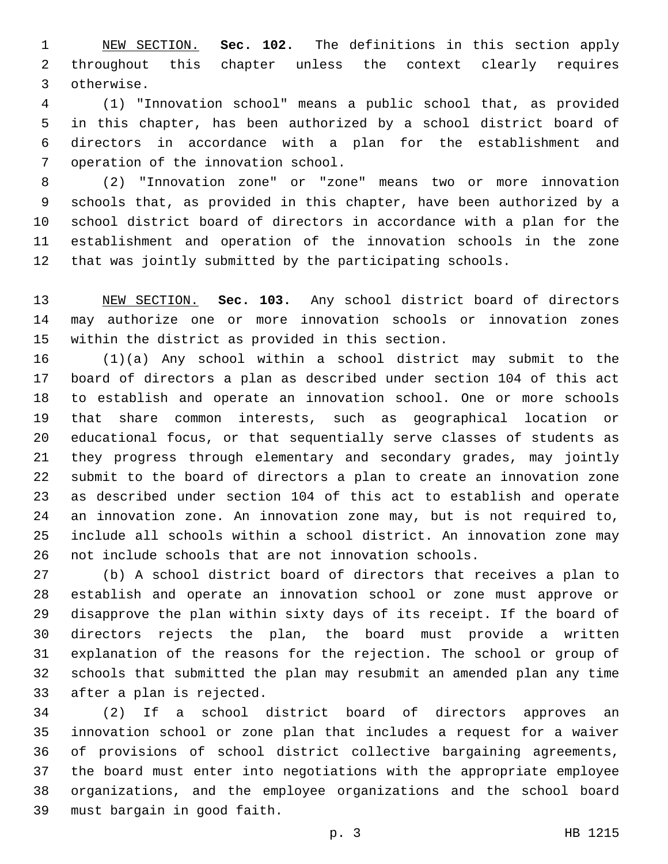NEW SECTION. **Sec. 102.** The definitions in this section apply throughout this chapter unless the context clearly requires otherwise.

 (1) "Innovation school" means a public school that, as provided in this chapter, has been authorized by a school district board of directors in accordance with a plan for the establishment and 7 operation of the innovation school.

 (2) "Innovation zone" or "zone" means two or more innovation schools that, as provided in this chapter, have been authorized by a school district board of directors in accordance with a plan for the establishment and operation of the innovation schools in the zone that was jointly submitted by the participating schools.

 NEW SECTION. **Sec. 103.** Any school district board of directors may authorize one or more innovation schools or innovation zones within the district as provided in this section.

 (1)(a) Any school within a school district may submit to the board of directors a plan as described under section 104 of this act to establish and operate an innovation school. One or more schools that share common interests, such as geographical location or educational focus, or that sequentially serve classes of students as they progress through elementary and secondary grades, may jointly submit to the board of directors a plan to create an innovation zone as described under section 104 of this act to establish and operate an innovation zone. An innovation zone may, but is not required to, include all schools within a school district. An innovation zone may not include schools that are not innovation schools.

 (b) A school district board of directors that receives a plan to establish and operate an innovation school or zone must approve or disapprove the plan within sixty days of its receipt. If the board of directors rejects the plan, the board must provide a written explanation of the reasons for the rejection. The school or group of schools that submitted the plan may resubmit an amended plan any time 33 after a plan is rejected.

 (2) If a school district board of directors approves an innovation school or zone plan that includes a request for a waiver of provisions of school district collective bargaining agreements, the board must enter into negotiations with the appropriate employee organizations, and the employee organizations and the school board 39 must bargain in good faith.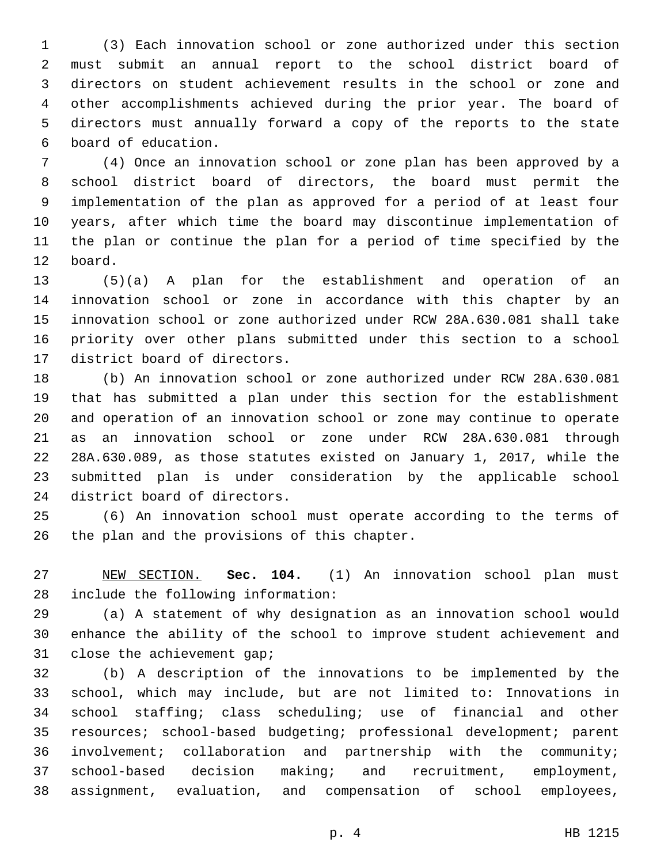(3) Each innovation school or zone authorized under this section must submit an annual report to the school district board of directors on student achievement results in the school or zone and other accomplishments achieved during the prior year. The board of directors must annually forward a copy of the reports to the state 6 board of education.

 (4) Once an innovation school or zone plan has been approved by a school district board of directors, the board must permit the implementation of the plan as approved for a period of at least four years, after which time the board may discontinue implementation of the plan or continue the plan for a period of time specified by the 12 board.

 (5)(a) A plan for the establishment and operation of an innovation school or zone in accordance with this chapter by an innovation school or zone authorized under RCW 28A.630.081 shall take priority over other plans submitted under this section to a school 17 district board of directors.

 (b) An innovation school or zone authorized under RCW 28A.630.081 that has submitted a plan under this section for the establishment and operation of an innovation school or zone may continue to operate as an innovation school or zone under RCW 28A.630.081 through 28A.630.089, as those statutes existed on January 1, 2017, while the submitted plan is under consideration by the applicable school 24 district board of directors.

 (6) An innovation school must operate according to the terms of 26 the plan and the provisions of this chapter.

 NEW SECTION. **Sec. 104.** (1) An innovation school plan must include the following information:

 (a) A statement of why designation as an innovation school would enhance the ability of the school to improve student achievement and 31 close the achievement gap;

 (b) A description of the innovations to be implemented by the school, which may include, but are not limited to: Innovations in school staffing; class scheduling; use of financial and other resources; school-based budgeting; professional development; parent involvement; collaboration and partnership with the community; school-based decision making; and recruitment, employment, assignment, evaluation, and compensation of school employees,

p. 4 HB 1215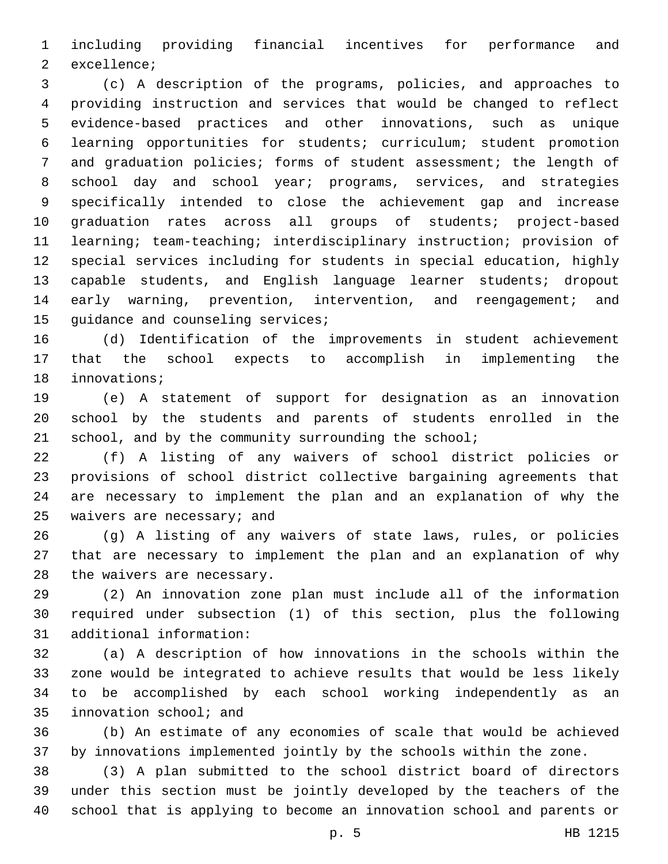including providing financial incentives for performance and 2 excellence;

 (c) A description of the programs, policies, and approaches to providing instruction and services that would be changed to reflect evidence-based practices and other innovations, such as unique learning opportunities for students; curriculum; student promotion and graduation policies; forms of student assessment; the length of school day and school year; programs, services, and strategies specifically intended to close the achievement gap and increase graduation rates across all groups of students; project-based learning; team-teaching; interdisciplinary instruction; provision of special services including for students in special education, highly capable students, and English language learner students; dropout early warning, prevention, intervention, and reengagement; and 15 quidance and counseling services;

 (d) Identification of the improvements in student achievement that the school expects to accomplish in implementing the 18 innovations;

 (e) A statement of support for designation as an innovation school by the students and parents of students enrolled in the 21 school, and by the community surrounding the school;

 (f) A listing of any waivers of school district policies or provisions of school district collective bargaining agreements that are necessary to implement the plan and an explanation of why the 25 waivers are necessary; and

 (g) A listing of any waivers of state laws, rules, or policies that are necessary to implement the plan and an explanation of why 28 the waivers are necessary.

 (2) An innovation zone plan must include all of the information required under subsection (1) of this section, plus the following 31 additional information:

 (a) A description of how innovations in the schools within the zone would be integrated to achieve results that would be less likely to be accomplished by each school working independently as an 35 innovation school; and

 (b) An estimate of any economies of scale that would be achieved by innovations implemented jointly by the schools within the zone.

 (3) A plan submitted to the school district board of directors under this section must be jointly developed by the teachers of the school that is applying to become an innovation school and parents or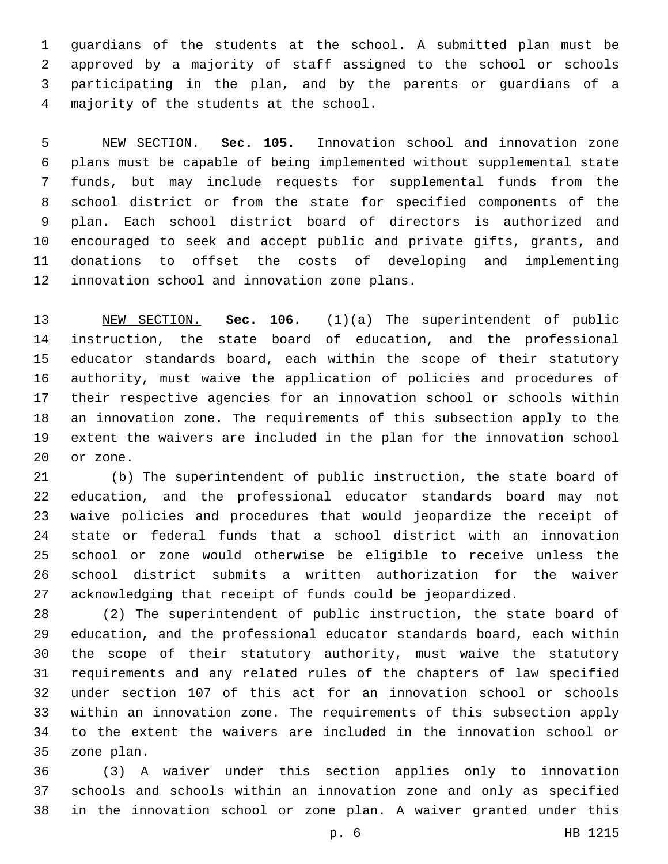guardians of the students at the school. A submitted plan must be approved by a majority of staff assigned to the school or schools participating in the plan, and by the parents or guardians of a majority of the students at the school.4

 NEW SECTION. **Sec. 105.** Innovation school and innovation zone plans must be capable of being implemented without supplemental state funds, but may include requests for supplemental funds from the school district or from the state for specified components of the plan. Each school district board of directors is authorized and encouraged to seek and accept public and private gifts, grants, and donations to offset the costs of developing and implementing innovation school and innovation zone plans.

 NEW SECTION. **Sec. 106.** (1)(a) The superintendent of public instruction, the state board of education, and the professional educator standards board, each within the scope of their statutory authority, must waive the application of policies and procedures of their respective agencies for an innovation school or schools within an innovation zone. The requirements of this subsection apply to the extent the waivers are included in the plan for the innovation school or zone.

 (b) The superintendent of public instruction, the state board of education, and the professional educator standards board may not waive policies and procedures that would jeopardize the receipt of state or federal funds that a school district with an innovation school or zone would otherwise be eligible to receive unless the school district submits a written authorization for the waiver acknowledging that receipt of funds could be jeopardized.

 (2) The superintendent of public instruction, the state board of education, and the professional educator standards board, each within the scope of their statutory authority, must waive the statutory requirements and any related rules of the chapters of law specified under section 107 of this act for an innovation school or schools within an innovation zone. The requirements of this subsection apply to the extent the waivers are included in the innovation school or 35 zone plan.

 (3) A waiver under this section applies only to innovation schools and schools within an innovation zone and only as specified in the innovation school or zone plan. A waiver granted under this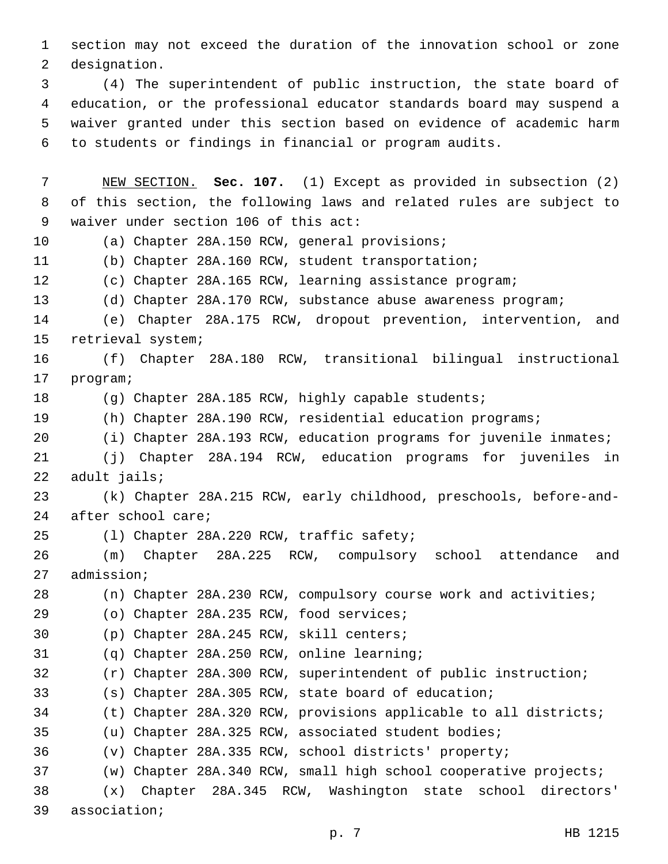section may not exceed the duration of the innovation school or zone 2 designation.

 (4) The superintendent of public instruction, the state board of education, or the professional educator standards board may suspend a waiver granted under this section based on evidence of academic harm to students or findings in financial or program audits.

 NEW SECTION. **Sec. 107.** (1) Except as provided in subsection (2) of this section, the following laws and related rules are subject to waiver under section 106 of this act: 10 (a) Chapter 28A.150 RCW, general provisions; (b) Chapter 28A.160 RCW, student transportation; (c) Chapter 28A.165 RCW, learning assistance program; (d) Chapter 28A.170 RCW, substance abuse awareness program; (e) Chapter 28A.175 RCW, dropout prevention, intervention, and 15 retrieval system; (f) Chapter 28A.180 RCW, transitional bilingual instructional 17 program; (g) Chapter 28A.185 RCW, highly capable students; (h) Chapter 28A.190 RCW, residential education programs; (i) Chapter 28A.193 RCW, education programs for juvenile inmates; (j) Chapter 28A.194 RCW, education programs for juveniles in 22 adult jails; (k) Chapter 28A.215 RCW, early childhood, preschools, before-and-24 after school care; 25 (1) Chapter 28A.220 RCW, traffic safety; (m) Chapter 28A.225 RCW, compulsory school attendance and 27 admission; (n) Chapter 28A.230 RCW, compulsory course work and activities; (o) Chapter 28A.235 RCW, food services;29 30 (p) Chapter 28A.245 RCW, skill centers; (q) Chapter 28A.250 RCW, online learning; (r) Chapter 28A.300 RCW, superintendent of public instruction; (s) Chapter 28A.305 RCW, state board of education; (t) Chapter 28A.320 RCW, provisions applicable to all districts; (u) Chapter 28A.325 RCW, associated student bodies; (v) Chapter 28A.335 RCW, school districts' property; (w) Chapter 28A.340 RCW, small high school cooperative projects; (x) Chapter 28A.345 RCW, Washington state school directors' 39 association;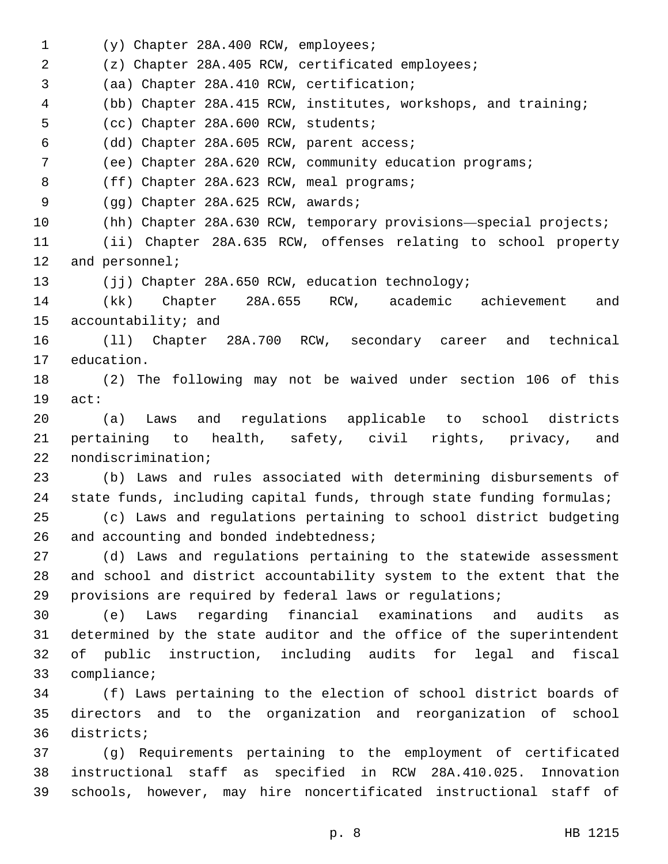1 (y) Chapter 28A.400 RCW, employees; (z) Chapter 28A.405 RCW, certificated employees; (aa) Chapter 28A.410 RCW, certification;3 (bb) Chapter 28A.415 RCW, institutes, workshops, and training; 5 (cc) Chapter 28A.600 RCW, students; (dd) Chapter 28A.605 RCW, parent access;6 (ee) Chapter 28A.620 RCW, community education programs; 8 (ff) Chapter 28A.623 RCW, meal programs; 9 (gg) Chapter 28A.625 RCW, awards; (hh) Chapter 28A.630 RCW, temporary provisions—special projects; (ii) Chapter 28A.635 RCW, offenses relating to school property 12 and personnel; 13 (jj) Chapter 28A.650 RCW, education technology; (kk) Chapter 28A.655 RCW, academic achievement and 15 accountability; and (ll) Chapter 28A.700 RCW, secondary career and technical 17 education. (2) The following may not be waived under section 106 of this 19 act: (a) Laws and regulations applicable to school districts pertaining to health, safety, civil rights, privacy, and 22 nondiscrimination; (b) Laws and rules associated with determining disbursements of state funds, including capital funds, through state funding formulas; (c) Laws and regulations pertaining to school district budgeting 26 and accounting and bonded indebtedness; (d) Laws and regulations pertaining to the statewide assessment and school and district accountability system to the extent that the provisions are required by federal laws or regulations; (e) Laws regarding financial examinations and audits as determined by the state auditor and the office of the superintendent of public instruction, including audits for legal and fiscal 33 compliance; (f) Laws pertaining to the election of school district boards of directors and to the organization and reorganization of school 36 districts; (g) Requirements pertaining to the employment of certificated instructional staff as specified in RCW 28A.410.025. Innovation schools, however, may hire noncertificated instructional staff of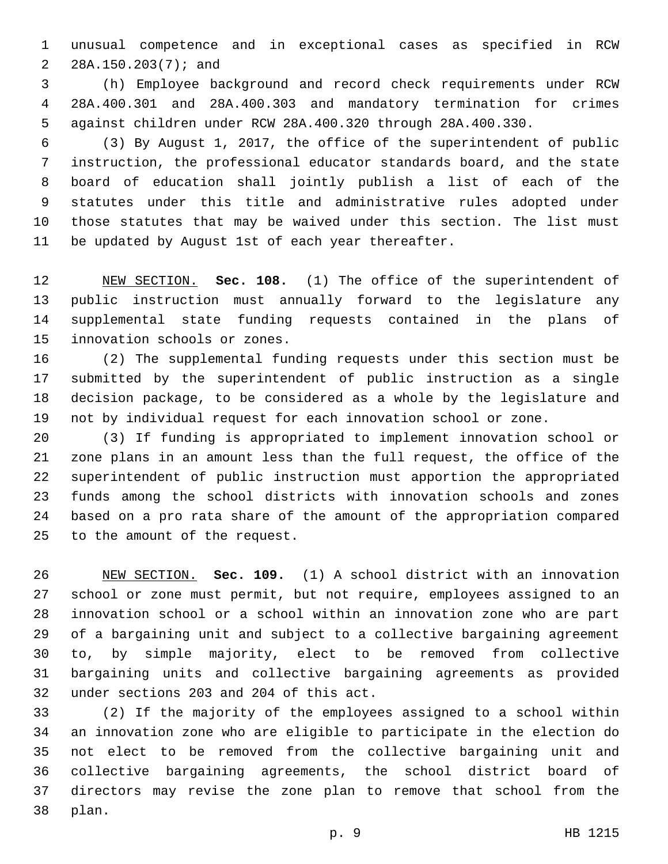unusual competence and in exceptional cases as specified in RCW 2 28A.150.203(7); and

 (h) Employee background and record check requirements under RCW 28A.400.301 and 28A.400.303 and mandatory termination for crimes against children under RCW 28A.400.320 through 28A.400.330.

 (3) By August 1, 2017, the office of the superintendent of public instruction, the professional educator standards board, and the state board of education shall jointly publish a list of each of the statutes under this title and administrative rules adopted under those statutes that may be waived under this section. The list must 11 be updated by August 1st of each year thereafter.

 NEW SECTION. **Sec. 108.** (1) The office of the superintendent of public instruction must annually forward to the legislature any supplemental state funding requests contained in the plans of innovation schools or zones.

 (2) The supplemental funding requests under this section must be submitted by the superintendent of public instruction as a single decision package, to be considered as a whole by the legislature and not by individual request for each innovation school or zone.

 (3) If funding is appropriated to implement innovation school or zone plans in an amount less than the full request, the office of the superintendent of public instruction must apportion the appropriated funds among the school districts with innovation schools and zones based on a pro rata share of the amount of the appropriation compared 25 to the amount of the request.

 NEW SECTION. **Sec. 109.** (1) A school district with an innovation school or zone must permit, but not require, employees assigned to an innovation school or a school within an innovation zone who are part of a bargaining unit and subject to a collective bargaining agreement to, by simple majority, elect to be removed from collective bargaining units and collective bargaining agreements as provided under sections 203 and 204 of this act.

 (2) If the majority of the employees assigned to a school within an innovation zone who are eligible to participate in the election do not elect to be removed from the collective bargaining unit and collective bargaining agreements, the school district board of directors may revise the zone plan to remove that school from the 38 plan.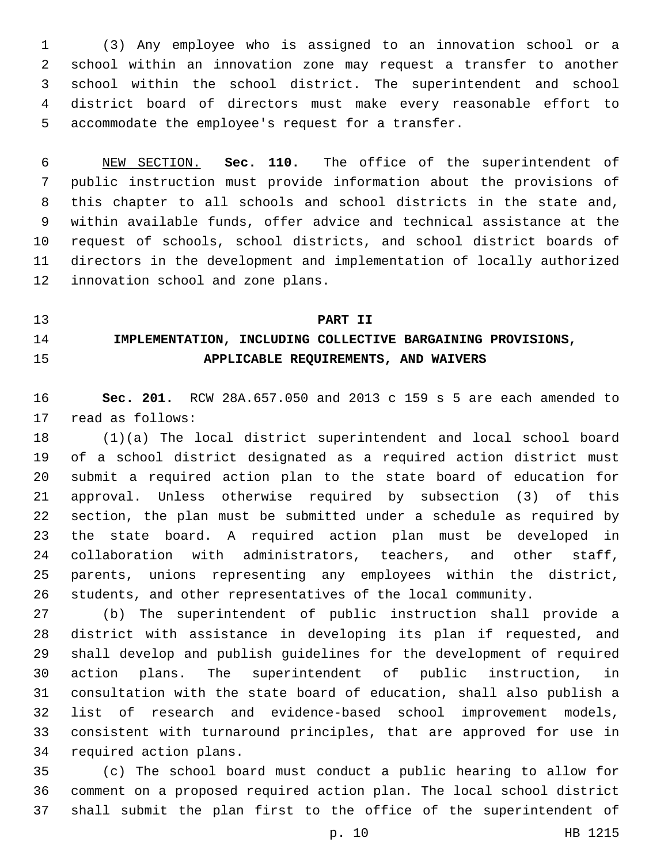(3) Any employee who is assigned to an innovation school or a school within an innovation zone may request a transfer to another school within the school district. The superintendent and school district board of directors must make every reasonable effort to 5 accommodate the employee's request for a transfer.

 NEW SECTION. **Sec. 110.** The office of the superintendent of public instruction must provide information about the provisions of this chapter to all schools and school districts in the state and, within available funds, offer advice and technical assistance at the request of schools, school districts, and school district boards of directors in the development and implementation of locally authorized innovation school and zone plans.

#### **PART II**

# **IMPLEMENTATION, INCLUDING COLLECTIVE BARGAINING PROVISIONS, APPLICABLE REQUIREMENTS, AND WAIVERS**

 **Sec. 201.** RCW 28A.657.050 and 2013 c 159 s 5 are each amended to 17 read as follows:

 (1)(a) The local district superintendent and local school board of a school district designated as a required action district must submit a required action plan to the state board of education for approval. Unless otherwise required by subsection (3) of this section, the plan must be submitted under a schedule as required by the state board. A required action plan must be developed in collaboration with administrators, teachers, and other staff, parents, unions representing any employees within the district, students, and other representatives of the local community.

 (b) The superintendent of public instruction shall provide a district with assistance in developing its plan if requested, and shall develop and publish guidelines for the development of required action plans. The superintendent of public instruction, in consultation with the state board of education, shall also publish a list of research and evidence-based school improvement models, consistent with turnaround principles, that are approved for use in 34 required action plans.

 (c) The school board must conduct a public hearing to allow for comment on a proposed required action plan. The local school district shall submit the plan first to the office of the superintendent of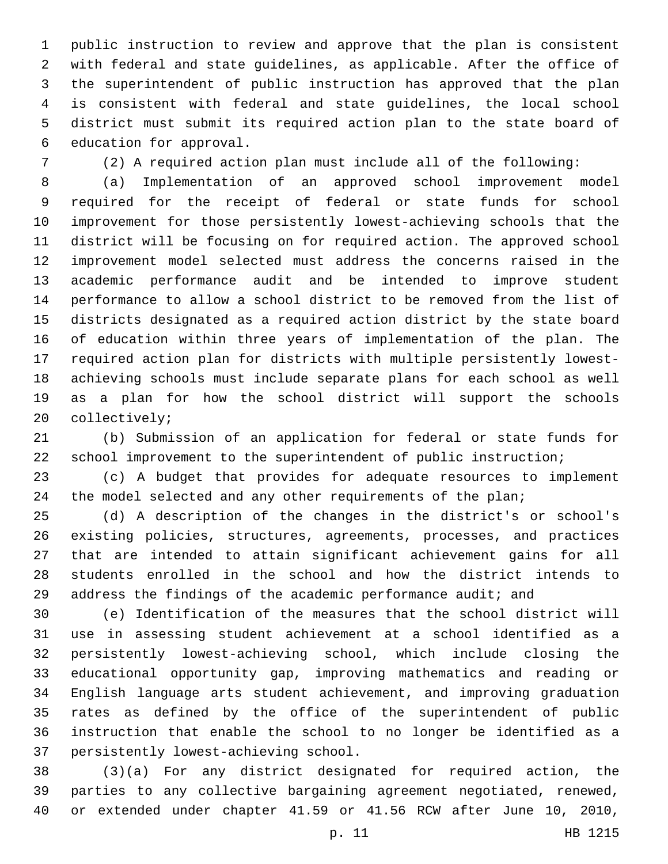public instruction to review and approve that the plan is consistent with federal and state guidelines, as applicable. After the office of the superintendent of public instruction has approved that the plan is consistent with federal and state guidelines, the local school district must submit its required action plan to the state board of 6 education for approval.

(2) A required action plan must include all of the following:

 (a) Implementation of an approved school improvement model required for the receipt of federal or state funds for school improvement for those persistently lowest-achieving schools that the district will be focusing on for required action. The approved school improvement model selected must address the concerns raised in the academic performance audit and be intended to improve student performance to allow a school district to be removed from the list of districts designated as a required action district by the state board of education within three years of implementation of the plan. The required action plan for districts with multiple persistently lowest- achieving schools must include separate plans for each school as well as a plan for how the school district will support the schools 20 collectively;

 (b) Submission of an application for federal or state funds for school improvement to the superintendent of public instruction;

 (c) A budget that provides for adequate resources to implement 24 the model selected and any other requirements of the plan;

 (d) A description of the changes in the district's or school's existing policies, structures, agreements, processes, and practices that are intended to attain significant achievement gains for all students enrolled in the school and how the district intends to address the findings of the academic performance audit; and

 (e) Identification of the measures that the school district will use in assessing student achievement at a school identified as a persistently lowest-achieving school, which include closing the educational opportunity gap, improving mathematics and reading or English language arts student achievement, and improving graduation rates as defined by the office of the superintendent of public instruction that enable the school to no longer be identified as a 37 persistently lowest-achieving school.

 (3)(a) For any district designated for required action, the parties to any collective bargaining agreement negotiated, renewed, or extended under chapter 41.59 or 41.56 RCW after June 10, 2010,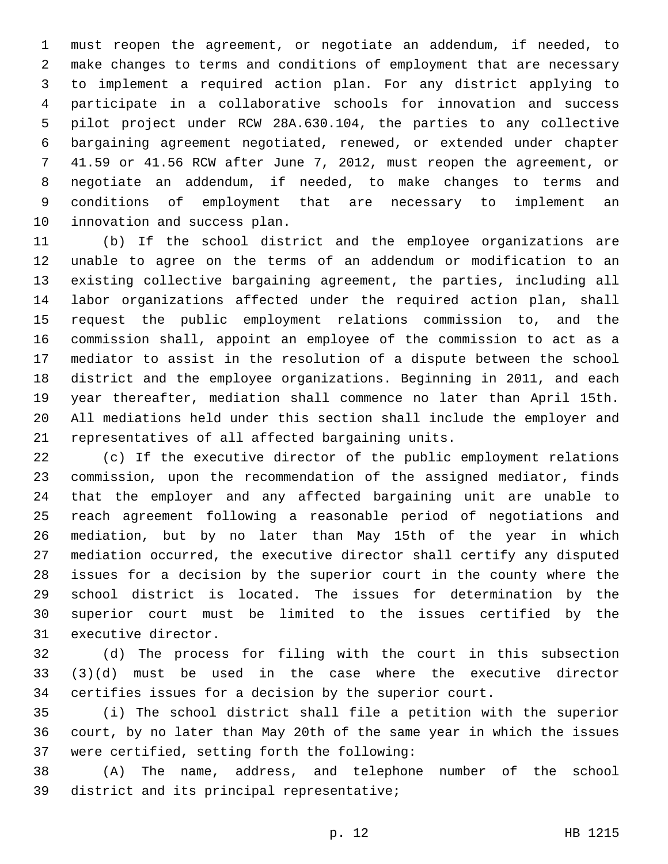must reopen the agreement, or negotiate an addendum, if needed, to make changes to terms and conditions of employment that are necessary to implement a required action plan. For any district applying to participate in a collaborative schools for innovation and success pilot project under RCW 28A.630.104, the parties to any collective bargaining agreement negotiated, renewed, or extended under chapter 41.59 or 41.56 RCW after June 7, 2012, must reopen the agreement, or negotiate an addendum, if needed, to make changes to terms and conditions of employment that are necessary to implement an 10 innovation and success plan.

 (b) If the school district and the employee organizations are unable to agree on the terms of an addendum or modification to an existing collective bargaining agreement, the parties, including all labor organizations affected under the required action plan, shall request the public employment relations commission to, and the commission shall, appoint an employee of the commission to act as a mediator to assist in the resolution of a dispute between the school district and the employee organizations. Beginning in 2011, and each year thereafter, mediation shall commence no later than April 15th. All mediations held under this section shall include the employer and 21 representatives of all affected bargaining units.

 (c) If the executive director of the public employment relations commission, upon the recommendation of the assigned mediator, finds that the employer and any affected bargaining unit are unable to reach agreement following a reasonable period of negotiations and mediation, but by no later than May 15th of the year in which mediation occurred, the executive director shall certify any disputed issues for a decision by the superior court in the county where the school district is located. The issues for determination by the superior court must be limited to the issues certified by the 31 executive director.

 (d) The process for filing with the court in this subsection (3)(d) must be used in the case where the executive director certifies issues for a decision by the superior court.

 (i) The school district shall file a petition with the superior court, by no later than May 20th of the same year in which the issues 37 were certified, setting forth the following:

 (A) The name, address, and telephone number of the school 39 district and its principal representative;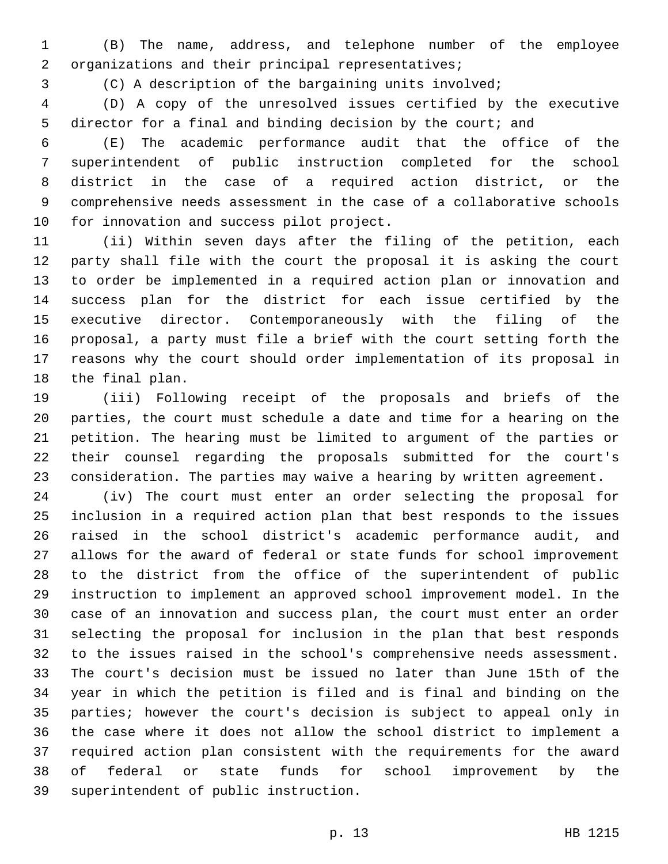(B) The name, address, and telephone number of the employee 2 organizations and their principal representatives;

(C) A description of the bargaining units involved;

 (D) A copy of the unresolved issues certified by the executive 5 director for a final and binding decision by the court; and

 (E) The academic performance audit that the office of the superintendent of public instruction completed for the school district in the case of a required action district, or the comprehensive needs assessment in the case of a collaborative schools 10 for innovation and success pilot project.

 (ii) Within seven days after the filing of the petition, each party shall file with the court the proposal it is asking the court to order be implemented in a required action plan or innovation and success plan for the district for each issue certified by the executive director. Contemporaneously with the filing of the proposal, a party must file a brief with the court setting forth the reasons why the court should order implementation of its proposal in 18 the final plan.

 (iii) Following receipt of the proposals and briefs of the parties, the court must schedule a date and time for a hearing on the petition. The hearing must be limited to argument of the parties or their counsel regarding the proposals submitted for the court's consideration. The parties may waive a hearing by written agreement.

 (iv) The court must enter an order selecting the proposal for inclusion in a required action plan that best responds to the issues raised in the school district's academic performance audit, and allows for the award of federal or state funds for school improvement to the district from the office of the superintendent of public instruction to implement an approved school improvement model. In the case of an innovation and success plan, the court must enter an order selecting the proposal for inclusion in the plan that best responds to the issues raised in the school's comprehensive needs assessment. The court's decision must be issued no later than June 15th of the year in which the petition is filed and is final and binding on the parties; however the court's decision is subject to appeal only in the case where it does not allow the school district to implement a required action plan consistent with the requirements for the award of federal or state funds for school improvement by the 39 superintendent of public instruction.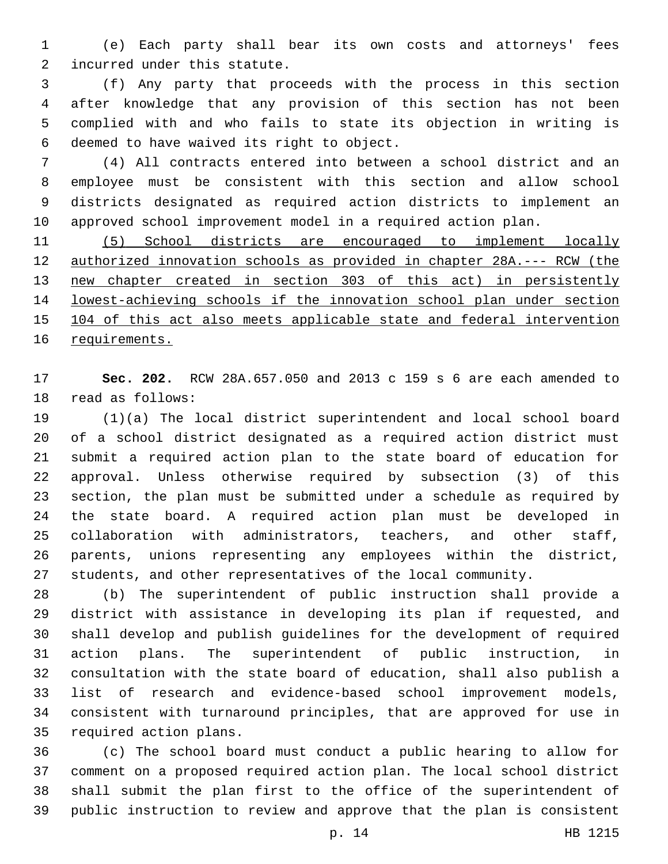(e) Each party shall bear its own costs and attorneys' fees 2 incurred under this statute.

 (f) Any party that proceeds with the process in this section after knowledge that any provision of this section has not been complied with and who fails to state its objection in writing is 6 deemed to have waived its right to object.

 (4) All contracts entered into between a school district and an employee must be consistent with this section and allow school districts designated as required action districts to implement an approved school improvement model in a required action plan.

 (5) School districts are encouraged to implement locally authorized innovation schools as provided in chapter 28A.--- RCW (the new chapter created in section 303 of this act) in persistently lowest-achieving schools if the innovation school plan under section 104 of this act also meets applicable state and federal intervention requirements.

 **Sec. 202.** RCW 28A.657.050 and 2013 c 159 s 6 are each amended to 18 read as follows:

 (1)(a) The local district superintendent and local school board of a school district designated as a required action district must submit a required action plan to the state board of education for approval. Unless otherwise required by subsection (3) of this section, the plan must be submitted under a schedule as required by the state board. A required action plan must be developed in collaboration with administrators, teachers, and other staff, parents, unions representing any employees within the district, students, and other representatives of the local community.

 (b) The superintendent of public instruction shall provide a district with assistance in developing its plan if requested, and shall develop and publish guidelines for the development of required action plans. The superintendent of public instruction, in consultation with the state board of education, shall also publish a list of research and evidence-based school improvement models, consistent with turnaround principles, that are approved for use in 35 required action plans.

 (c) The school board must conduct a public hearing to allow for comment on a proposed required action plan. The local school district shall submit the plan first to the office of the superintendent of public instruction to review and approve that the plan is consistent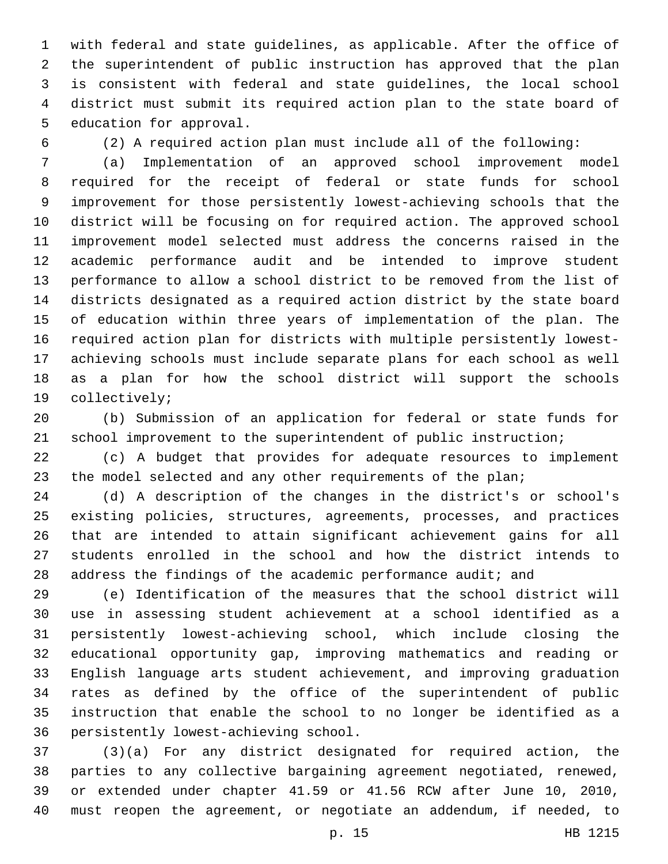with federal and state guidelines, as applicable. After the office of the superintendent of public instruction has approved that the plan is consistent with federal and state guidelines, the local school district must submit its required action plan to the state board of 5 education for approval.

(2) A required action plan must include all of the following:

 (a) Implementation of an approved school improvement model required for the receipt of federal or state funds for school improvement for those persistently lowest-achieving schools that the district will be focusing on for required action. The approved school improvement model selected must address the concerns raised in the academic performance audit and be intended to improve student performance to allow a school district to be removed from the list of districts designated as a required action district by the state board of education within three years of implementation of the plan. The required action plan for districts with multiple persistently lowest- achieving schools must include separate plans for each school as well as a plan for how the school district will support the schools 19 collectively;

 (b) Submission of an application for federal or state funds for school improvement to the superintendent of public instruction;

 (c) A budget that provides for adequate resources to implement 23 the model selected and any other requirements of the plan;

 (d) A description of the changes in the district's or school's existing policies, structures, agreements, processes, and practices that are intended to attain significant achievement gains for all students enrolled in the school and how the district intends to 28 address the findings of the academic performance audit; and

 (e) Identification of the measures that the school district will use in assessing student achievement at a school identified as a persistently lowest-achieving school, which include closing the educational opportunity gap, improving mathematics and reading or English language arts student achievement, and improving graduation rates as defined by the office of the superintendent of public instruction that enable the school to no longer be identified as a 36 persistently lowest-achieving school.

 (3)(a) For any district designated for required action, the parties to any collective bargaining agreement negotiated, renewed, or extended under chapter 41.59 or 41.56 RCW after June 10, 2010, must reopen the agreement, or negotiate an addendum, if needed, to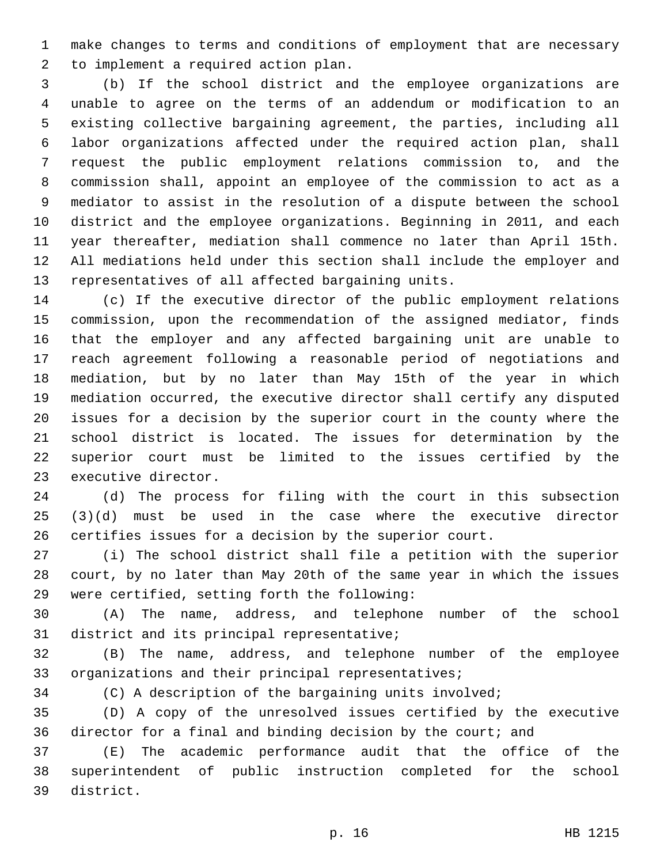make changes to terms and conditions of employment that are necessary 2 to implement a required action plan.

 (b) If the school district and the employee organizations are unable to agree on the terms of an addendum or modification to an existing collective bargaining agreement, the parties, including all labor organizations affected under the required action plan, shall request the public employment relations commission to, and the commission shall, appoint an employee of the commission to act as a mediator to assist in the resolution of a dispute between the school district and the employee organizations. Beginning in 2011, and each year thereafter, mediation shall commence no later than April 15th. All mediations held under this section shall include the employer and 13 representatives of all affected bargaining units.

 (c) If the executive director of the public employment relations commission, upon the recommendation of the assigned mediator, finds that the employer and any affected bargaining unit are unable to reach agreement following a reasonable period of negotiations and mediation, but by no later than May 15th of the year in which mediation occurred, the executive director shall certify any disputed issues for a decision by the superior court in the county where the school district is located. The issues for determination by the superior court must be limited to the issues certified by the 23 executive director.

 (d) The process for filing with the court in this subsection (3)(d) must be used in the case where the executive director certifies issues for a decision by the superior court.

 (i) The school district shall file a petition with the superior court, by no later than May 20th of the same year in which the issues 29 were certified, setting forth the following:

 (A) The name, address, and telephone number of the school 31 district and its principal representative;

 (B) The name, address, and telephone number of the employee organizations and their principal representatives;

(C) A description of the bargaining units involved;

 (D) A copy of the unresolved issues certified by the executive 36 director for a final and binding decision by the court; and

 (E) The academic performance audit that the office of the superintendent of public instruction completed for the school 39 district.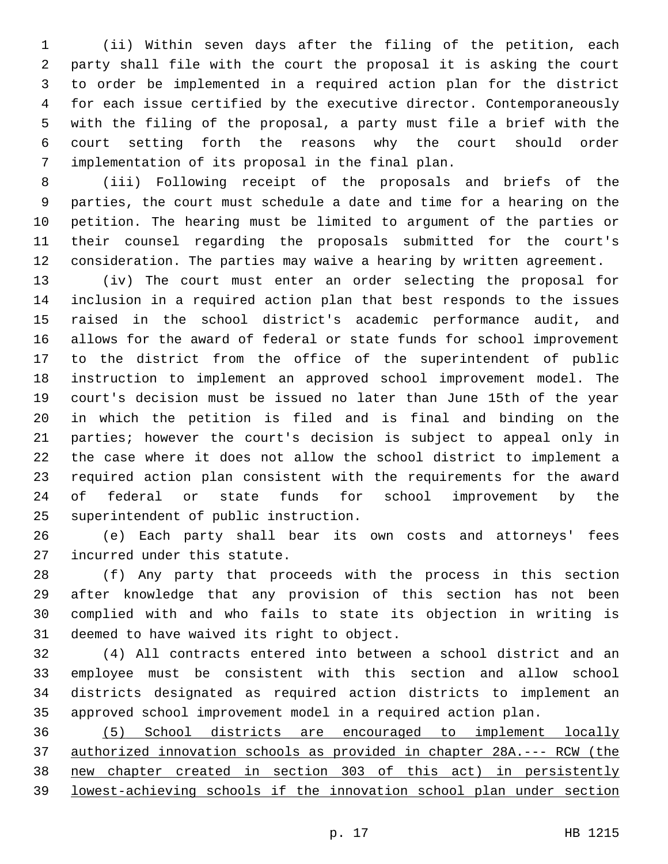(ii) Within seven days after the filing of the petition, each party shall file with the court the proposal it is asking the court to order be implemented in a required action plan for the district for each issue certified by the executive director. Contemporaneously with the filing of the proposal, a party must file a brief with the court setting forth the reasons why the court should order implementation of its proposal in the final plan.7

 (iii) Following receipt of the proposals and briefs of the parties, the court must schedule a date and time for a hearing on the petition. The hearing must be limited to argument of the parties or their counsel regarding the proposals submitted for the court's consideration. The parties may waive a hearing by written agreement.

 (iv) The court must enter an order selecting the proposal for inclusion in a required action plan that best responds to the issues raised in the school district's academic performance audit, and allows for the award of federal or state funds for school improvement to the district from the office of the superintendent of public instruction to implement an approved school improvement model. The court's decision must be issued no later than June 15th of the year in which the petition is filed and is final and binding on the parties; however the court's decision is subject to appeal only in the case where it does not allow the school district to implement a required action plan consistent with the requirements for the award of federal or state funds for school improvement by the 25 superintendent of public instruction.

 (e) Each party shall bear its own costs and attorneys' fees 27 incurred under this statute.

 (f) Any party that proceeds with the process in this section after knowledge that any provision of this section has not been complied with and who fails to state its objection in writing is 31 deemed to have waived its right to object.

 (4) All contracts entered into between a school district and an employee must be consistent with this section and allow school districts designated as required action districts to implement an approved school improvement model in a required action plan.

 (5) School districts are encouraged to implement locally authorized innovation schools as provided in chapter 28A.--- RCW (the new chapter created in section 303 of this act) in persistently lowest-achieving schools if the innovation school plan under section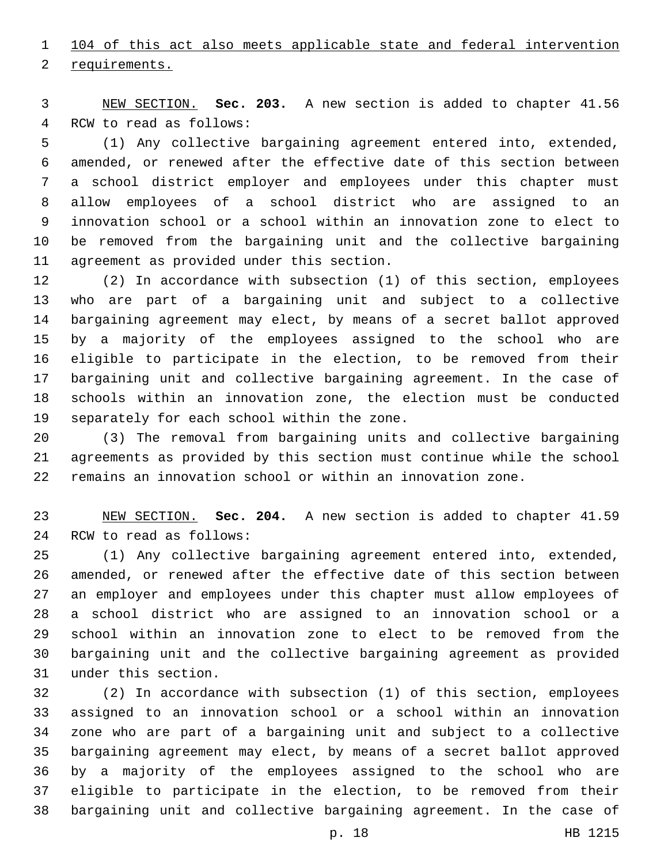104 of this act also meets applicable state and federal intervention

2 requirements.

 NEW SECTION. **Sec. 203.** A new section is added to chapter 41.56 4 RCW to read as follows:

 (1) Any collective bargaining agreement entered into, extended, amended, or renewed after the effective date of this section between a school district employer and employees under this chapter must allow employees of a school district who are assigned to an innovation school or a school within an innovation zone to elect to be removed from the bargaining unit and the collective bargaining 11 agreement as provided under this section.

 (2) In accordance with subsection (1) of this section, employees who are part of a bargaining unit and subject to a collective bargaining agreement may elect, by means of a secret ballot approved by a majority of the employees assigned to the school who are eligible to participate in the election, to be removed from their bargaining unit and collective bargaining agreement. In the case of schools within an innovation zone, the election must be conducted 19 separately for each school within the zone.

 (3) The removal from bargaining units and collective bargaining agreements as provided by this section must continue while the school remains an innovation school or within an innovation zone.

 NEW SECTION. **Sec. 204.** A new section is added to chapter 41.59 24 RCW to read as follows:

 (1) Any collective bargaining agreement entered into, extended, amended, or renewed after the effective date of this section between an employer and employees under this chapter must allow employees of a school district who are assigned to an innovation school or a school within an innovation zone to elect to be removed from the bargaining unit and the collective bargaining agreement as provided 31 under this section.

 (2) In accordance with subsection (1) of this section, employees assigned to an innovation school or a school within an innovation zone who are part of a bargaining unit and subject to a collective bargaining agreement may elect, by means of a secret ballot approved by a majority of the employees assigned to the school who are eligible to participate in the election, to be removed from their bargaining unit and collective bargaining agreement. In the case of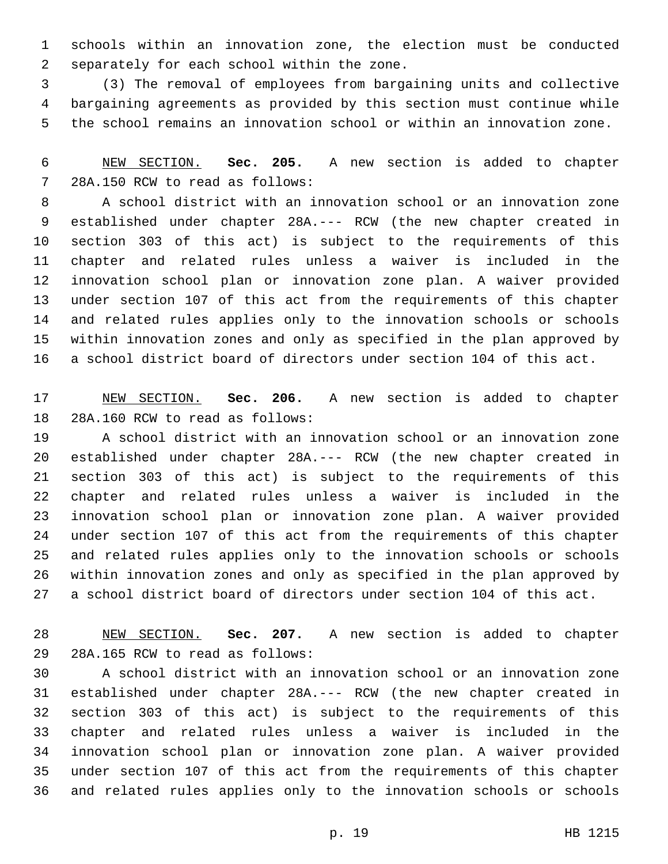schools within an innovation zone, the election must be conducted 2 separately for each school within the zone.

 (3) The removal of employees from bargaining units and collective bargaining agreements as provided by this section must continue while the school remains an innovation school or within an innovation zone.

 NEW SECTION. **Sec. 205.** A new section is added to chapter 28A.150 RCW to read as follows:7

 A school district with an innovation school or an innovation zone established under chapter 28A.--- RCW (the new chapter created in section 303 of this act) is subject to the requirements of this chapter and related rules unless a waiver is included in the innovation school plan or innovation zone plan. A waiver provided under section 107 of this act from the requirements of this chapter and related rules applies only to the innovation schools or schools within innovation zones and only as specified in the plan approved by a school district board of directors under section 104 of this act.

 NEW SECTION. **Sec. 206.** A new section is added to chapter 18 28A.160 RCW to read as follows:

 A school district with an innovation school or an innovation zone established under chapter 28A.--- RCW (the new chapter created in section 303 of this act) is subject to the requirements of this chapter and related rules unless a waiver is included in the innovation school plan or innovation zone plan. A waiver provided under section 107 of this act from the requirements of this chapter and related rules applies only to the innovation schools or schools within innovation zones and only as specified in the plan approved by a school district board of directors under section 104 of this act.

 NEW SECTION. **Sec. 207.** A new section is added to chapter 29 28A.165 RCW to read as follows:

 A school district with an innovation school or an innovation zone established under chapter 28A.--- RCW (the new chapter created in section 303 of this act) is subject to the requirements of this chapter and related rules unless a waiver is included in the innovation school plan or innovation zone plan. A waiver provided under section 107 of this act from the requirements of this chapter and related rules applies only to the innovation schools or schools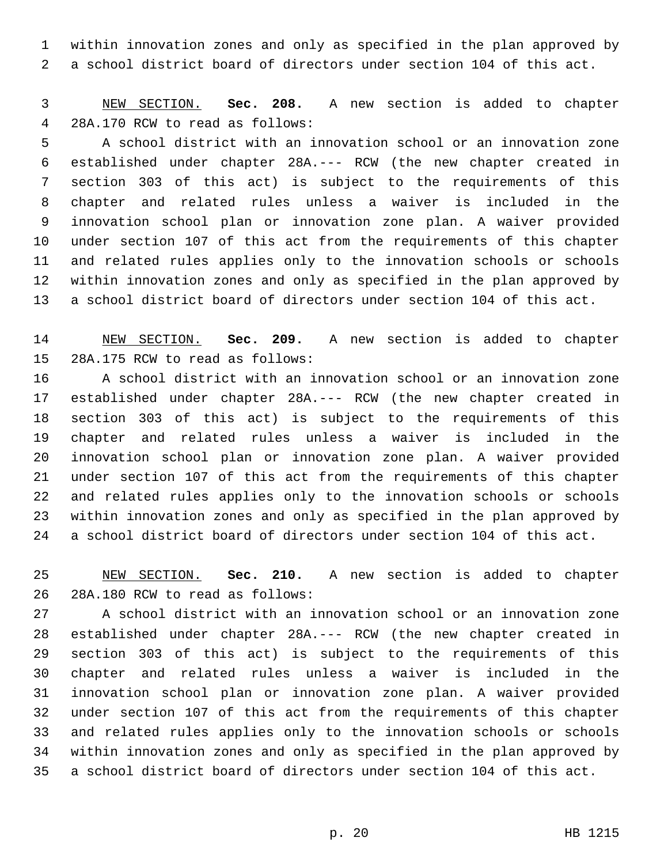within innovation zones and only as specified in the plan approved by a school district board of directors under section 104 of this act.

 NEW SECTION. **Sec. 208.** A new section is added to chapter 28A.170 RCW to read as follows:4

 A school district with an innovation school or an innovation zone established under chapter 28A.--- RCW (the new chapter created in section 303 of this act) is subject to the requirements of this chapter and related rules unless a waiver is included in the innovation school plan or innovation zone plan. A waiver provided under section 107 of this act from the requirements of this chapter and related rules applies only to the innovation schools or schools within innovation zones and only as specified in the plan approved by a school district board of directors under section 104 of this act.

 NEW SECTION. **Sec. 209.** A new section is added to chapter 15 28A.175 RCW to read as follows:

 A school district with an innovation school or an innovation zone established under chapter 28A.--- RCW (the new chapter created in section 303 of this act) is subject to the requirements of this chapter and related rules unless a waiver is included in the innovation school plan or innovation zone plan. A waiver provided under section 107 of this act from the requirements of this chapter and related rules applies only to the innovation schools or schools within innovation zones and only as specified in the plan approved by a school district board of directors under section 104 of this act.

 NEW SECTION. **Sec. 210.** A new section is added to chapter 26 28A.180 RCW to read as follows:

 A school district with an innovation school or an innovation zone established under chapter 28A.--- RCW (the new chapter created in section 303 of this act) is subject to the requirements of this chapter and related rules unless a waiver is included in the innovation school plan or innovation zone plan. A waiver provided under section 107 of this act from the requirements of this chapter and related rules applies only to the innovation schools or schools within innovation zones and only as specified in the plan approved by a school district board of directors under section 104 of this act.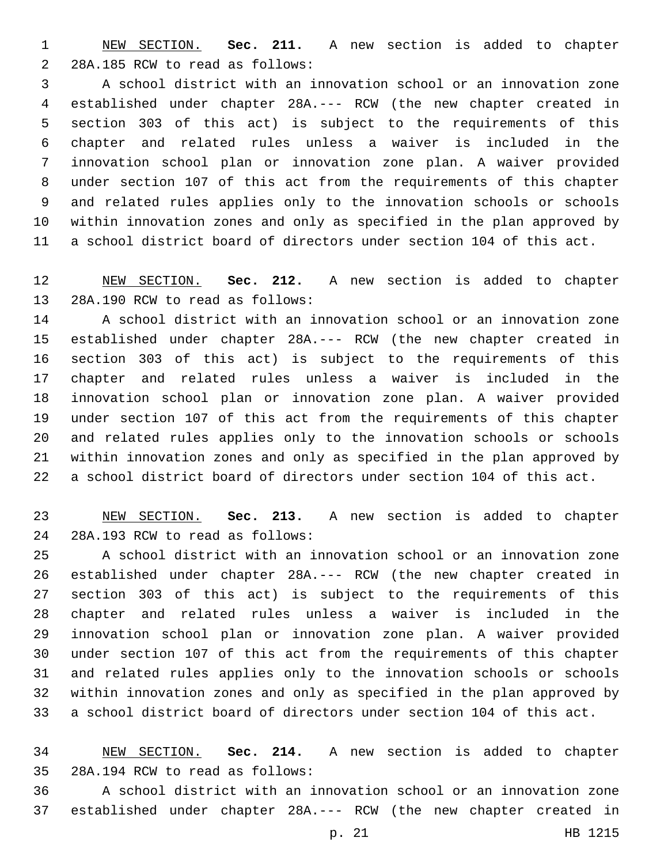NEW SECTION. **Sec. 211.** A new section is added to chapter 2 28A.185 RCW to read as follows:

 A school district with an innovation school or an innovation zone established under chapter 28A.--- RCW (the new chapter created in section 303 of this act) is subject to the requirements of this chapter and related rules unless a waiver is included in the innovation school plan or innovation zone plan. A waiver provided under section 107 of this act from the requirements of this chapter and related rules applies only to the innovation schools or schools within innovation zones and only as specified in the plan approved by a school district board of directors under section 104 of this act.

 NEW SECTION. **Sec. 212.** A new section is added to chapter 13 28A.190 RCW to read as follows:

 A school district with an innovation school or an innovation zone established under chapter 28A.--- RCW (the new chapter created in section 303 of this act) is subject to the requirements of this chapter and related rules unless a waiver is included in the innovation school plan or innovation zone plan. A waiver provided under section 107 of this act from the requirements of this chapter and related rules applies only to the innovation schools or schools within innovation zones and only as specified in the plan approved by a school district board of directors under section 104 of this act.

 NEW SECTION. **Sec. 213.** A new section is added to chapter 28A.193 RCW to read as follows:24

 A school district with an innovation school or an innovation zone established under chapter 28A.--- RCW (the new chapter created in section 303 of this act) is subject to the requirements of this chapter and related rules unless a waiver is included in the innovation school plan or innovation zone plan. A waiver provided under section 107 of this act from the requirements of this chapter and related rules applies only to the innovation schools or schools within innovation zones and only as specified in the plan approved by a school district board of directors under section 104 of this act.

 NEW SECTION. **Sec. 214.** A new section is added to chapter 28A.194 RCW to read as follows:35

 A school district with an innovation school or an innovation zone established under chapter 28A.--- RCW (the new chapter created in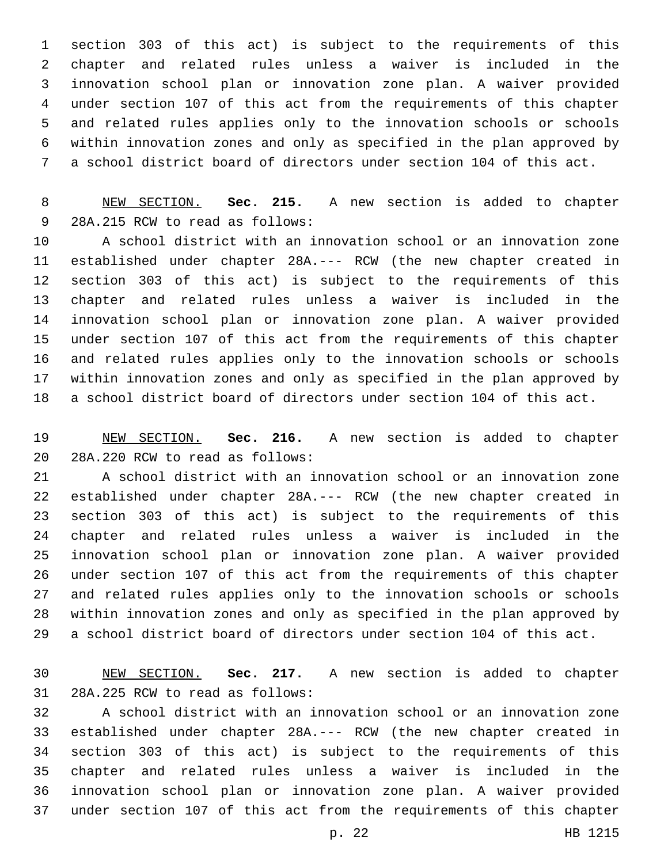section 303 of this act) is subject to the requirements of this chapter and related rules unless a waiver is included in the innovation school plan or innovation zone plan. A waiver provided under section 107 of this act from the requirements of this chapter and related rules applies only to the innovation schools or schools within innovation zones and only as specified in the plan approved by a school district board of directors under section 104 of this act.

 NEW SECTION. **Sec. 215.** A new section is added to chapter 9 28A.215 RCW to read as follows:

 A school district with an innovation school or an innovation zone established under chapter 28A.--- RCW (the new chapter created in section 303 of this act) is subject to the requirements of this chapter and related rules unless a waiver is included in the innovation school plan or innovation zone plan. A waiver provided under section 107 of this act from the requirements of this chapter and related rules applies only to the innovation schools or schools within innovation zones and only as specified in the plan approved by a school district board of directors under section 104 of this act.

 NEW SECTION. **Sec. 216.** A new section is added to chapter 20 28A.220 RCW to read as follows:

 A school district with an innovation school or an innovation zone established under chapter 28A.--- RCW (the new chapter created in section 303 of this act) is subject to the requirements of this chapter and related rules unless a waiver is included in the innovation school plan or innovation zone plan. A waiver provided under section 107 of this act from the requirements of this chapter and related rules applies only to the innovation schools or schools within innovation zones and only as specified in the plan approved by a school district board of directors under section 104 of this act.

 NEW SECTION. **Sec. 217.** A new section is added to chapter 31 28A.225 RCW to read as follows:

 A school district with an innovation school or an innovation zone established under chapter 28A.--- RCW (the new chapter created in section 303 of this act) is subject to the requirements of this chapter and related rules unless a waiver is included in the innovation school plan or innovation zone plan. A waiver provided under section 107 of this act from the requirements of this chapter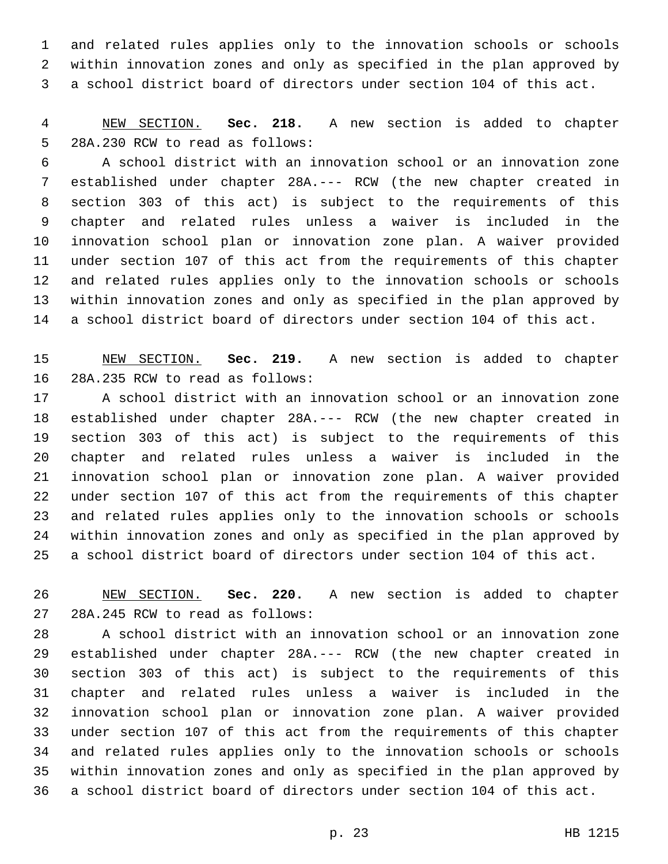and related rules applies only to the innovation schools or schools within innovation zones and only as specified in the plan approved by a school district board of directors under section 104 of this act.

 NEW SECTION. **Sec. 218.** A new section is added to chapter 5 28A.230 RCW to read as follows:

 A school district with an innovation school or an innovation zone established under chapter 28A.--- RCW (the new chapter created in section 303 of this act) is subject to the requirements of this chapter and related rules unless a waiver is included in the innovation school plan or innovation zone plan. A waiver provided under section 107 of this act from the requirements of this chapter and related rules applies only to the innovation schools or schools within innovation zones and only as specified in the plan approved by a school district board of directors under section 104 of this act.

 NEW SECTION. **Sec. 219.** A new section is added to chapter 16 28A.235 RCW to read as follows:

 A school district with an innovation school or an innovation zone established under chapter 28A.--- RCW (the new chapter created in section 303 of this act) is subject to the requirements of this chapter and related rules unless a waiver is included in the innovation school plan or innovation zone plan. A waiver provided under section 107 of this act from the requirements of this chapter and related rules applies only to the innovation schools or schools within innovation zones and only as specified in the plan approved by a school district board of directors under section 104 of this act.

 NEW SECTION. **Sec. 220.** A new section is added to chapter 27 28A.245 RCW to read as follows:

 A school district with an innovation school or an innovation zone established under chapter 28A.--- RCW (the new chapter created in section 303 of this act) is subject to the requirements of this chapter and related rules unless a waiver is included in the innovation school plan or innovation zone plan. A waiver provided under section 107 of this act from the requirements of this chapter and related rules applies only to the innovation schools or schools within innovation zones and only as specified in the plan approved by a school district board of directors under section 104 of this act.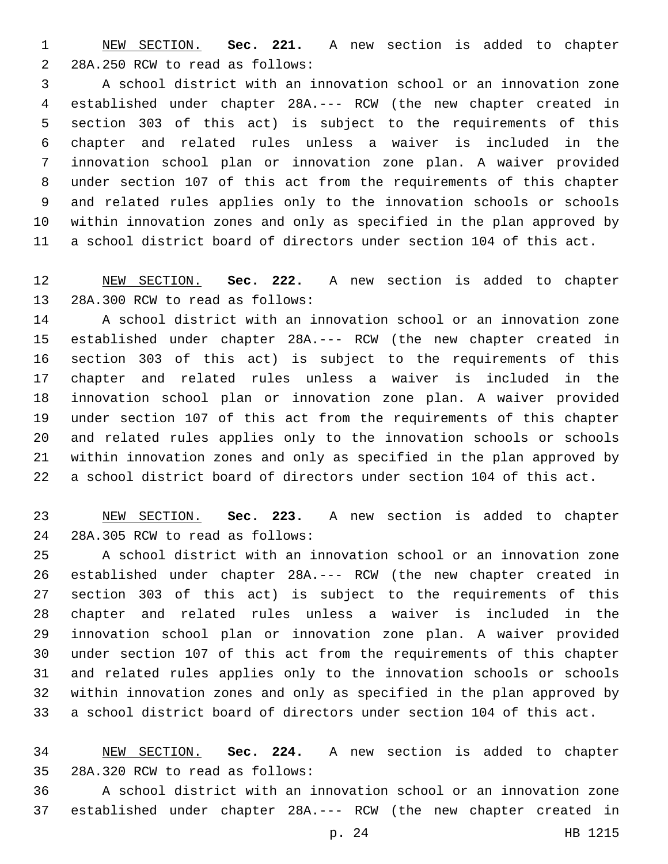NEW SECTION. **Sec. 221.** A new section is added to chapter 2 28A.250 RCW to read as follows:

 A school district with an innovation school or an innovation zone established under chapter 28A.--- RCW (the new chapter created in section 303 of this act) is subject to the requirements of this chapter and related rules unless a waiver is included in the innovation school plan or innovation zone plan. A waiver provided under section 107 of this act from the requirements of this chapter and related rules applies only to the innovation schools or schools within innovation zones and only as specified in the plan approved by a school district board of directors under section 104 of this act.

 NEW SECTION. **Sec. 222.** A new section is added to chapter 13 28A.300 RCW to read as follows:

 A school district with an innovation school or an innovation zone established under chapter 28A.--- RCW (the new chapter created in section 303 of this act) is subject to the requirements of this chapter and related rules unless a waiver is included in the innovation school plan or innovation zone plan. A waiver provided under section 107 of this act from the requirements of this chapter and related rules applies only to the innovation schools or schools within innovation zones and only as specified in the plan approved by a school district board of directors under section 104 of this act.

 NEW SECTION. **Sec. 223.** A new section is added to chapter 28A.305 RCW to read as follows:24

 A school district with an innovation school or an innovation zone established under chapter 28A.--- RCW (the new chapter created in section 303 of this act) is subject to the requirements of this chapter and related rules unless a waiver is included in the innovation school plan or innovation zone plan. A waiver provided under section 107 of this act from the requirements of this chapter and related rules applies only to the innovation schools or schools within innovation zones and only as specified in the plan approved by a school district board of directors under section 104 of this act.

 NEW SECTION. **Sec. 224.** A new section is added to chapter 28A.320 RCW to read as follows:35

 A school district with an innovation school or an innovation zone established under chapter 28A.--- RCW (the new chapter created in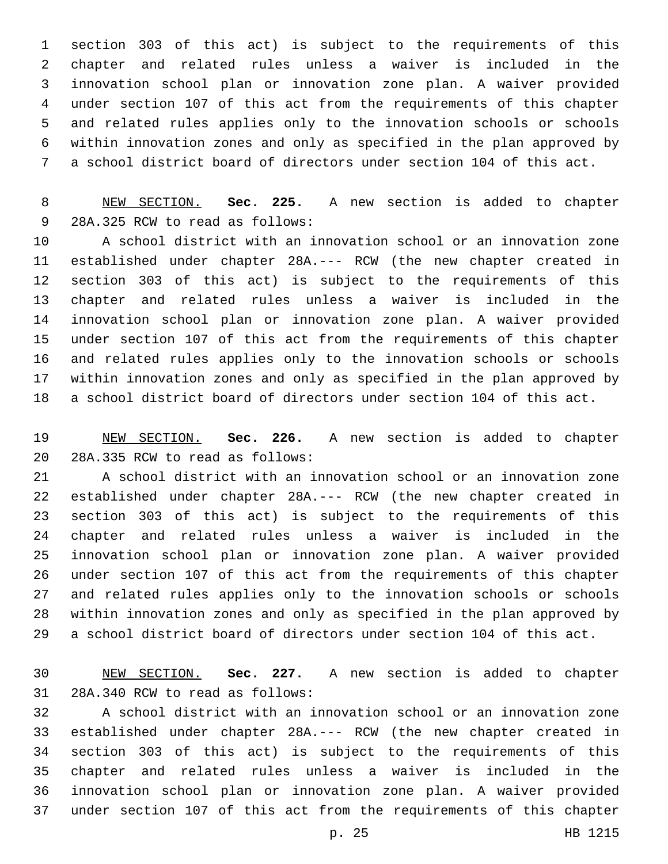section 303 of this act) is subject to the requirements of this chapter and related rules unless a waiver is included in the innovation school plan or innovation zone plan. A waiver provided under section 107 of this act from the requirements of this chapter and related rules applies only to the innovation schools or schools within innovation zones and only as specified in the plan approved by a school district board of directors under section 104 of this act.

 NEW SECTION. **Sec. 225.** A new section is added to chapter 9 28A.325 RCW to read as follows:

 A school district with an innovation school or an innovation zone established under chapter 28A.--- RCW (the new chapter created in section 303 of this act) is subject to the requirements of this chapter and related rules unless a waiver is included in the innovation school plan or innovation zone plan. A waiver provided under section 107 of this act from the requirements of this chapter and related rules applies only to the innovation schools or schools within innovation zones and only as specified in the plan approved by a school district board of directors under section 104 of this act.

 NEW SECTION. **Sec. 226.** A new section is added to chapter 20 28A.335 RCW to read as follows:

 A school district with an innovation school or an innovation zone established under chapter 28A.--- RCW (the new chapter created in section 303 of this act) is subject to the requirements of this chapter and related rules unless a waiver is included in the innovation school plan or innovation zone plan. A waiver provided under section 107 of this act from the requirements of this chapter and related rules applies only to the innovation schools or schools within innovation zones and only as specified in the plan approved by a school district board of directors under section 104 of this act.

 NEW SECTION. **Sec. 227.** A new section is added to chapter 31 28A.340 RCW to read as follows:

 A school district with an innovation school or an innovation zone established under chapter 28A.--- RCW (the new chapter created in section 303 of this act) is subject to the requirements of this chapter and related rules unless a waiver is included in the innovation school plan or innovation zone plan. A waiver provided under section 107 of this act from the requirements of this chapter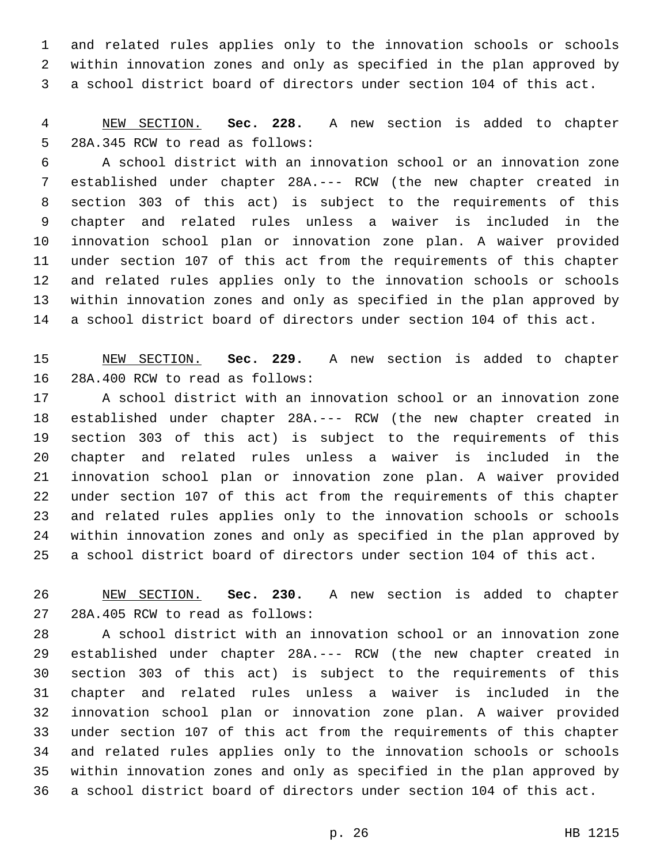and related rules applies only to the innovation schools or schools within innovation zones and only as specified in the plan approved by a school district board of directors under section 104 of this act.

 NEW SECTION. **Sec. 228.** A new section is added to chapter 5 28A.345 RCW to read as follows:

 A school district with an innovation school or an innovation zone established under chapter 28A.--- RCW (the new chapter created in section 303 of this act) is subject to the requirements of this chapter and related rules unless a waiver is included in the innovation school plan or innovation zone plan. A waiver provided under section 107 of this act from the requirements of this chapter and related rules applies only to the innovation schools or schools within innovation zones and only as specified in the plan approved by a school district board of directors under section 104 of this act.

 NEW SECTION. **Sec. 229.** A new section is added to chapter 16 28A.400 RCW to read as follows:

 A school district with an innovation school or an innovation zone established under chapter 28A.--- RCW (the new chapter created in section 303 of this act) is subject to the requirements of this chapter and related rules unless a waiver is included in the innovation school plan or innovation zone plan. A waiver provided under section 107 of this act from the requirements of this chapter and related rules applies only to the innovation schools or schools within innovation zones and only as specified in the plan approved by a school district board of directors under section 104 of this act.

 NEW SECTION. **Sec. 230.** A new section is added to chapter 27 28A.405 RCW to read as follows:

 A school district with an innovation school or an innovation zone established under chapter 28A.--- RCW (the new chapter created in section 303 of this act) is subject to the requirements of this chapter and related rules unless a waiver is included in the innovation school plan or innovation zone plan. A waiver provided under section 107 of this act from the requirements of this chapter and related rules applies only to the innovation schools or schools within innovation zones and only as specified in the plan approved by a school district board of directors under section 104 of this act.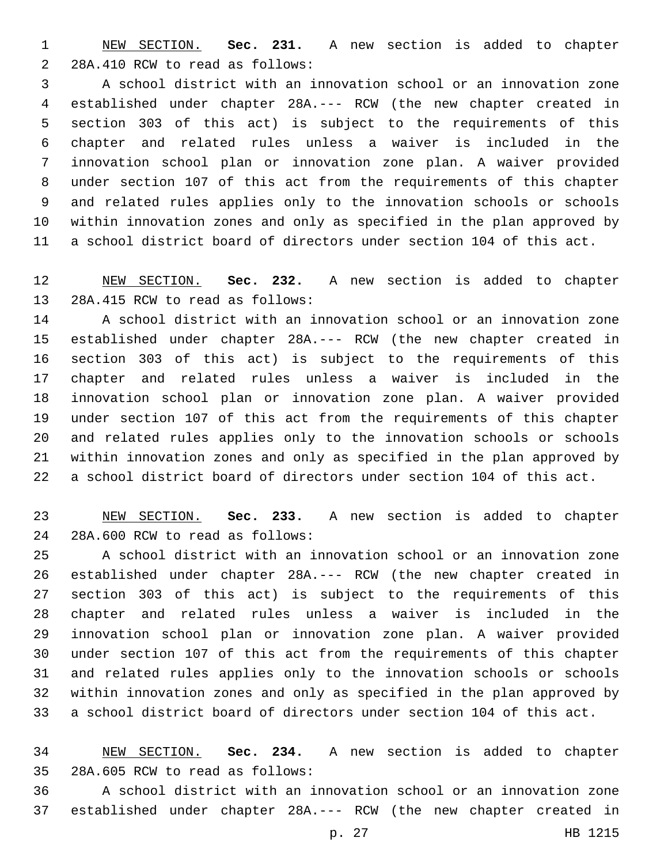NEW SECTION. **Sec. 231.** A new section is added to chapter 2 28A.410 RCW to read as follows:

 A school district with an innovation school or an innovation zone established under chapter 28A.--- RCW (the new chapter created in section 303 of this act) is subject to the requirements of this chapter and related rules unless a waiver is included in the innovation school plan or innovation zone plan. A waiver provided under section 107 of this act from the requirements of this chapter and related rules applies only to the innovation schools or schools within innovation zones and only as specified in the plan approved by a school district board of directors under section 104 of this act.

 NEW SECTION. **Sec. 232.** A new section is added to chapter 13 28A.415 RCW to read as follows:

 A school district with an innovation school or an innovation zone established under chapter 28A.--- RCW (the new chapter created in section 303 of this act) is subject to the requirements of this chapter and related rules unless a waiver is included in the innovation school plan or innovation zone plan. A waiver provided under section 107 of this act from the requirements of this chapter and related rules applies only to the innovation schools or schools within innovation zones and only as specified in the plan approved by a school district board of directors under section 104 of this act.

 NEW SECTION. **Sec. 233.** A new section is added to chapter 28A.600 RCW to read as follows:24

 A school district with an innovation school or an innovation zone established under chapter 28A.--- RCW (the new chapter created in section 303 of this act) is subject to the requirements of this chapter and related rules unless a waiver is included in the innovation school plan or innovation zone plan. A waiver provided under section 107 of this act from the requirements of this chapter and related rules applies only to the innovation schools or schools within innovation zones and only as specified in the plan approved by a school district board of directors under section 104 of this act.

 NEW SECTION. **Sec. 234.** A new section is added to chapter 28A.605 RCW to read as follows:35

 A school district with an innovation school or an innovation zone established under chapter 28A.--- RCW (the new chapter created in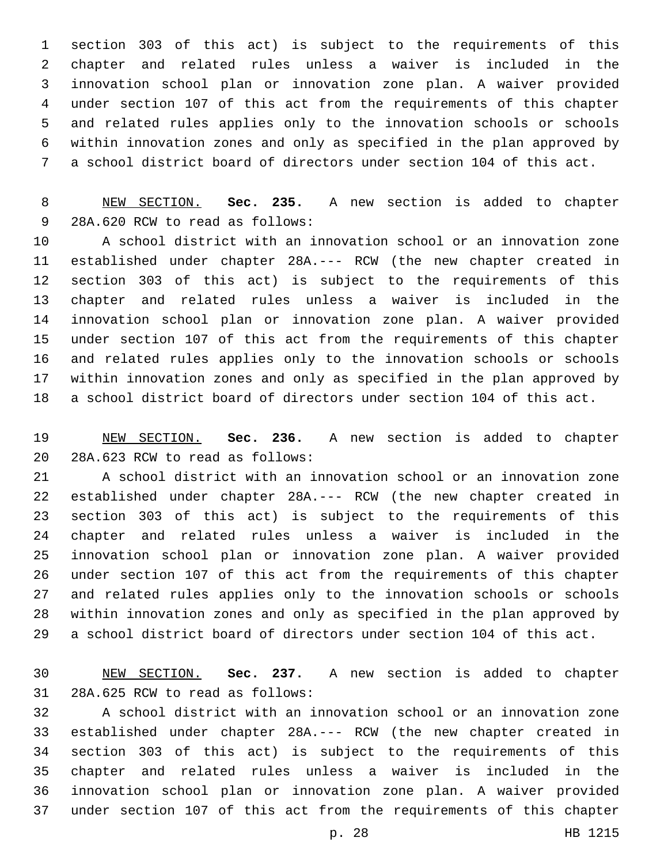section 303 of this act) is subject to the requirements of this chapter and related rules unless a waiver is included in the innovation school plan or innovation zone plan. A waiver provided under section 107 of this act from the requirements of this chapter and related rules applies only to the innovation schools or schools within innovation zones and only as specified in the plan approved by a school district board of directors under section 104 of this act.

 NEW SECTION. **Sec. 235.** A new section is added to chapter 9 28A.620 RCW to read as follows:

 A school district with an innovation school or an innovation zone established under chapter 28A.--- RCW (the new chapter created in section 303 of this act) is subject to the requirements of this chapter and related rules unless a waiver is included in the innovation school plan or innovation zone plan. A waiver provided under section 107 of this act from the requirements of this chapter and related rules applies only to the innovation schools or schools within innovation zones and only as specified in the plan approved by a school district board of directors under section 104 of this act.

 NEW SECTION. **Sec. 236.** A new section is added to chapter 20 28A.623 RCW to read as follows:

 A school district with an innovation school or an innovation zone established under chapter 28A.--- RCW (the new chapter created in section 303 of this act) is subject to the requirements of this chapter and related rules unless a waiver is included in the innovation school plan or innovation zone plan. A waiver provided under section 107 of this act from the requirements of this chapter and related rules applies only to the innovation schools or schools within innovation zones and only as specified in the plan approved by a school district board of directors under section 104 of this act.

 NEW SECTION. **Sec. 237.** A new section is added to chapter 31 28A.625 RCW to read as follows:

 A school district with an innovation school or an innovation zone established under chapter 28A.--- RCW (the new chapter created in section 303 of this act) is subject to the requirements of this chapter and related rules unless a waiver is included in the innovation school plan or innovation zone plan. A waiver provided under section 107 of this act from the requirements of this chapter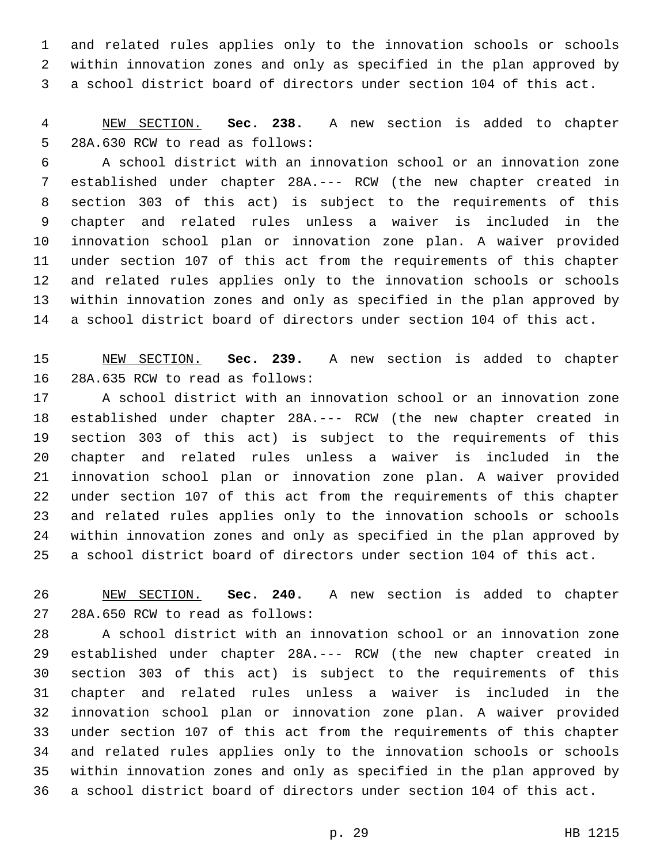and related rules applies only to the innovation schools or schools within innovation zones and only as specified in the plan approved by a school district board of directors under section 104 of this act.

 NEW SECTION. **Sec. 238.** A new section is added to chapter 5 28A.630 RCW to read as follows:

 A school district with an innovation school or an innovation zone established under chapter 28A.--- RCW (the new chapter created in section 303 of this act) is subject to the requirements of this chapter and related rules unless a waiver is included in the innovation school plan or innovation zone plan. A waiver provided under section 107 of this act from the requirements of this chapter and related rules applies only to the innovation schools or schools within innovation zones and only as specified in the plan approved by a school district board of directors under section 104 of this act.

 NEW SECTION. **Sec. 239.** A new section is added to chapter 16 28A.635 RCW to read as follows:

 A school district with an innovation school or an innovation zone established under chapter 28A.--- RCW (the new chapter created in section 303 of this act) is subject to the requirements of this chapter and related rules unless a waiver is included in the innovation school plan or innovation zone plan. A waiver provided under section 107 of this act from the requirements of this chapter and related rules applies only to the innovation schools or schools within innovation zones and only as specified in the plan approved by a school district board of directors under section 104 of this act.

 NEW SECTION. **Sec. 240.** A new section is added to chapter 27 28A.650 RCW to read as follows:

 A school district with an innovation school or an innovation zone established under chapter 28A.--- RCW (the new chapter created in section 303 of this act) is subject to the requirements of this chapter and related rules unless a waiver is included in the innovation school plan or innovation zone plan. A waiver provided under section 107 of this act from the requirements of this chapter and related rules applies only to the innovation schools or schools within innovation zones and only as specified in the plan approved by a school district board of directors under section 104 of this act.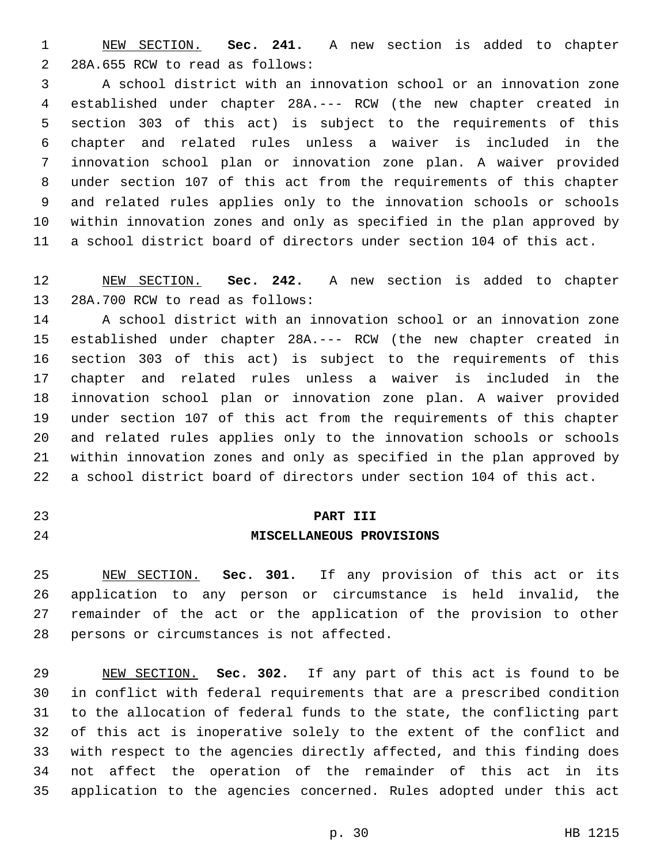NEW SECTION. **Sec. 241.** A new section is added to chapter 2 28A.655 RCW to read as follows:

 A school district with an innovation school or an innovation zone established under chapter 28A.--- RCW (the new chapter created in section 303 of this act) is subject to the requirements of this chapter and related rules unless a waiver is included in the innovation school plan or innovation zone plan. A waiver provided under section 107 of this act from the requirements of this chapter and related rules applies only to the innovation schools or schools within innovation zones and only as specified in the plan approved by a school district board of directors under section 104 of this act.

 NEW SECTION. **Sec. 242.** A new section is added to chapter 13 28A.700 RCW to read as follows:

 A school district with an innovation school or an innovation zone established under chapter 28A.--- RCW (the new chapter created in section 303 of this act) is subject to the requirements of this chapter and related rules unless a waiver is included in the innovation school plan or innovation zone plan. A waiver provided under section 107 of this act from the requirements of this chapter and related rules applies only to the innovation schools or schools within innovation zones and only as specified in the plan approved by a school district board of directors under section 104 of this act.

### **PART III**

## **MISCELLANEOUS PROVISIONS**

 NEW SECTION. **Sec. 301.** If any provision of this act or its application to any person or circumstance is held invalid, the remainder of the act or the application of the provision to other persons or circumstances is not affected.

 NEW SECTION. **Sec. 302.** If any part of this act is found to be in conflict with federal requirements that are a prescribed condition to the allocation of federal funds to the state, the conflicting part of this act is inoperative solely to the extent of the conflict and with respect to the agencies directly affected, and this finding does not affect the operation of the remainder of this act in its application to the agencies concerned. Rules adopted under this act